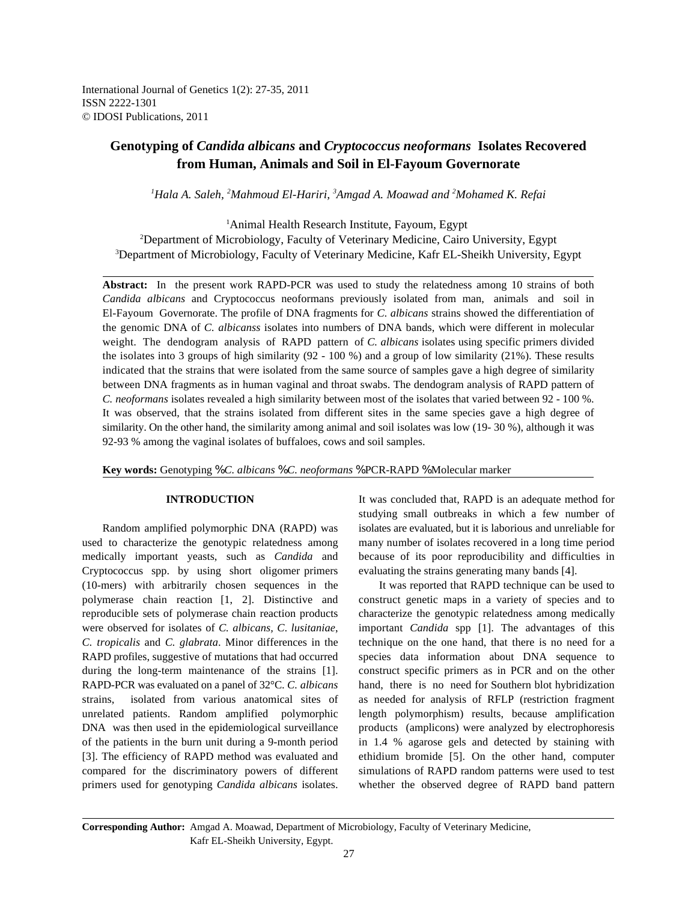International Journal of Genetics 1(2): 27-35, 2011 ISSN 2222-1301 © IDOSI Publications, 2011

# **Genotyping of** *Candida albicans* **and** *Cryptococcus neoformans* **Isolates Recovered from Human, Animals and Soil in El-Fayoum Governorate**

<sup>1</sup>Hala A. Saleh, <sup>2</sup>Mahmoud El-Hariri, <sup>3</sup>Amgad A. Moawad and <sup>2</sup>Mohamed K. Refai

<sup>1</sup>Animal Health Research Institute, Fayoum, Egypt <sup>2</sup>Department of Microbiology, Faculty of Veterinary Medicine, Cairo University, Egypt <sup>3</sup>Department of Microbiology, Faculty of Veterinary Medicine, Kafr EL-Sheikh University, Egypt

**Abstract:** In the present work RAPD-PCR was used to study the relatedness among 10 strains of both *Candida albicans* and Cryptococcus neoformans previously isolated from man, animals and soil in El-Fayoum Governorate. The profile of DNA fragments for *C. albicans* strains showed the differentiation of the genomic DNA of *C. albicanss* isolates into numbers of DNA bands, which were different in molecular weight. The dendogram analysis of RAPD pattern of *C. albicans* isolates using specific primers divided the isolates into 3 groups of high similarity (92 - 100 %) and a group of low similarity (21%). These results indicated that the strains that were isolated from the same source of samples gave a high degree of similarity between DNA fragments as in human vaginal and throat swabs. The dendogram analysis of RAPD pattern of *C. neoformans* isolates revealed a high similarity between most of the isolates that varied between 92 - 100 %. It was observed, that the strains isolated from different sites in the same species gave a high degree of similarity. On the other hand, the similarity among animal and soil isolates was low (19- 30 %), although it was 92-93 % among the vaginal isolates of buffaloes, cows and soil samples.

**Key words:** Genotyping % *C. albicans* % *C. neoformans* % PCR-RAPD % Molecular marker

used to characterize the genotypic relatedness among many number of isolates recovered in a long time period medically important yeasts, such as *Candida* and because of its poor reproducibility and difficulties in Cryptococcus spp. by using short oligomer primers evaluating the strains generating many bands [4]. (10-mers) with arbitrarily chosen sequences in the It was reported that RAPD technique can be used to polymerase chain reaction [1, 2]. Distinctive and construct genetic maps in a variety of species and to reproducible sets of polymerase chain reaction products characterize the genotypic relatedness among medically were observed for isolates of *C. albicans, C*. *lusitaniae*, important *Candida* spp [1]. The advantages of this *C. tropicalis* and *C. glabrata*. Minor differences in the technique on the one hand, that there is no need for a RAPD profiles, suggestive of mutations that had occurred species data information about DNA sequence to during the long-term maintenance of the strains [1]. construct specific primers as in PCR and on the other RAPD-PCR was evaluated on a panel of 32°C. *C. albicans* hand, there is no need for Southern blot hybridization strains, isolated from various anatomical sites of as needed for analysis of RFLP (restriction fragment unrelated patients. Random amplified polymorphic length polymorphism) results, because amplification DNA was then used in the epidemiological surveillance products (amplicons) were analyzed by electrophoresis of the patients in the burn unit during a 9-month period in 1.4 % agarose gels and detected by staining with [3]. The efficiency of RAPD method was evaluated and ethidium bromide [5]. On the other hand, computer compared for the discriminatory powers of different simulations of RAPD random patterns were used to test

**INTRODUCTION** It was concluded that, RAPD is an adequate method for Random amplified polymorphic DNA (RAPD) was isolates are evaluated, but it is laborious and unreliable for studying small outbreaks in which a few number of

primers used for genotyping *Candida albicans* isolates. whether the observed degree of RAPD band pattern

**Corresponding Author:** Amgad A. Moawad, Department of Microbiology, Faculty of Veterinary Medicine, Kafr EL-Sheikh University, Egypt.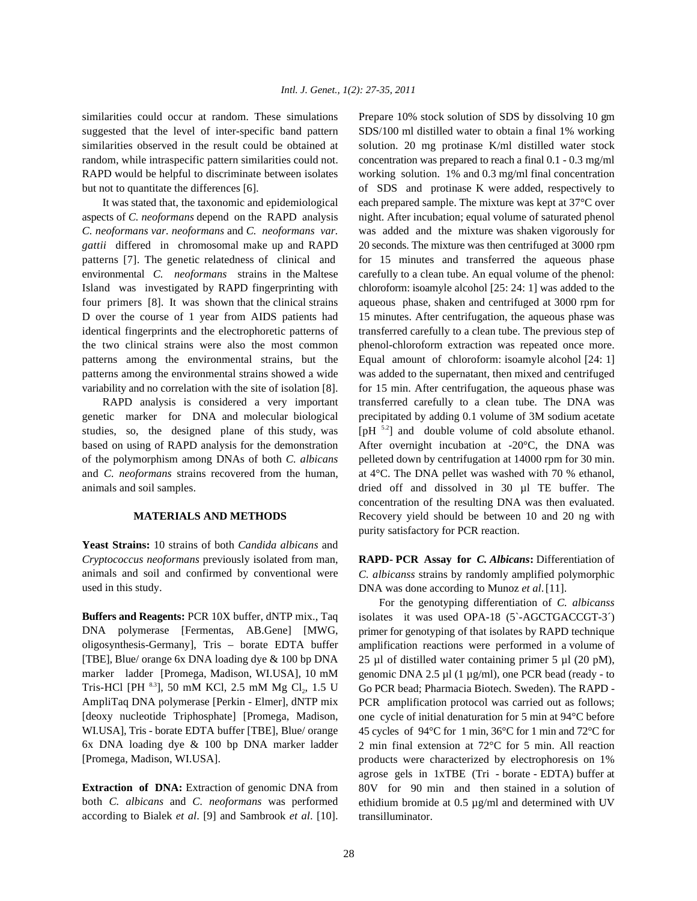similarities could occur at random. These simulations Prepare 10% stock solution of SDS by dissolving 10 gm suggested that the level of inter-specific band pattern SDS/100 ml distilled water to obtain a final 1% working similarities observed in the result could be obtained at solution. 20 mg protinase K/ml distilled water stock random, while intraspecific pattern similarities could not. concentration was prepared to reach a final 0.1 - 0.3 mg/ml RAPD would be helpful to discriminate between isolates working solution. 1% and 0.3 mg/ml final concentration but not to quantitate the differences [6]. of SDS and protinase K were added, respectively to

aspects of *C. neoformans* depend on the RAPD analysis night. After incubation; equal volume of saturated phenol *C. neoformans var. neoformans* and *C. neoformans var.* was added and the mixture was shaken vigorously for *gattii* differed in chromosomal make up and RAPD 20 seconds. The mixture was then centrifuged at 3000 rpm patterns [7]. The genetic relatedness of clinical and for 15 minutes and transferred the aqueous phase environmental *C. neoformans* strains in the Maltese carefully to a clean tube. An equal volume of the phenol: Island was investigated by RAPD fingerprinting with chloroform: isoamyle alcohol [25: 24: 1] was added to the four primers [8]. It was shown that the clinical strains aqueous phase, shaken and centrifuged at 3000 rpm for D over the course of 1 year from AIDS patients had 15 minutes. After centrifugation, the aqueous phase was identical fingerprints and the electrophoretic patterns of transferred carefully to a clean tube. The previous step of the two clinical strains were also the most common phenol-chloroform extraction was repeated once more. patterns among the environmental strains, but the Equal amount of chloroform: isoamyle alcohol [24: 1] patterns among the environmental strains showed a wide was added to the supernatant, then mixed and centrifuged variability and no correlation with the site of isolation [8]. for 15 min. After centrifugation, the aqueous phase was

genetic marker for DNA and molecular biological precipitated by adding 0.1 volume of 3M sodium acetate studies, so, the designed plane of this study, was  $[pH<sup>52</sup>]$  and double volume of cold absolute ethanol. based on using of RAPD analysis for the demonstration After overnight incubation at -20°C, the DNA was of the polymorphism among DNAs of both *C. albicans* pelleted down by centrifugation at 14000 rpm for 30 min. and *C. neoformans* strains recovered from the human, at 4°C. The DNA pellet was washed with 70 % ethanol, animals and soil samples. dried off and dissolved in 30 µl TE buffer. The

**Yeast Strains:** 10 strains of both *Candida albicans* and *Cryptococcus neoformans* previously isolated from man, **RAPD- PCR Assay for** *C. Albicans***:** Differentiation of animals and soil and confirmed by conventional were used in this study.

**Buffers and Reagents:** PCR 10X buffer, dNTP mix., Taq DNA polymerase [Fermentas, AB.Gene] [MWG, oligosynthesis-Germany], Tris – borate EDTA buffer [TBE], Blue/ orange 6x DNA loading dye & 100 bp DNA marker ladder [Promega, Madison, WI.USA], 10 mM Tris-HCl [PH  $^{8.3}$ ], 50 mM KCl, 2.5 mM Mg Cl<sub>2</sub>, 1.5 U AmpliTaq DNA polymerase [Perkin - Elmer], dNTP mix [deoxy nucleotide Triphosphate] [Promega, Madison, WI.USA], Tris - borate EDTA buffer [TBE], Blue/ orange 6x DNA loading dye & 100 bp DNA marker ladder [Promega, Madison, WI.USA].

**Extraction of DNA:** Extraction of genomic DNA from both *C. albicans* and *C. neoformans* was performed according to Bialek *et al*. [9] and Sambrook *et al*. [10].

It was stated that, the taxonomic and epidemiological each prepared sample. The mixture was kept at 37°C over RAPD analysis is considered a very important transferred carefully to a clean tube. The DNA was concentration of the resulting DNA was then evaluated. **MATERIALS AND METHODS** Recovery yield should be between 10 and 20 ng with purity satisfactory for PCR reaction.

> *C. albicanss* strains by randomly amplified polymorphic DNA was done according to Munoz *et al*.[11].

> For the genotyping differentiation of *C. albicanss* isolates it was used OPA-18 (5`-AGCTGACCGT-3´) primer for genotyping of that isolates by RAPD technique amplification reactions were performed in a volume of 25  $\mu$ l of distilled water containing primer 5  $\mu$ l (20 pM), genomic DNA 2.5 µl (1 µg/ml), one PCR bead (ready - to Go PCR bead; Pharmacia Biotech. Sweden). The RAPD - PCR amplification protocol was carried out as follows; one cycle of initial denaturation for 5 min at 94°C before 45 cycles of 94°C for 1 min, 36°C for 1 min and 72°C for 2 min final extension at 72°C for 5 min. All reaction products were characterized by electrophoresis on 1% agrose gels in 1xTBE (Tri - borate - EDTA) buffer at 80V for 90 min and then stained in a solution of ethidium bromide at 0.5 µg/ml and determined with UV transilluminator.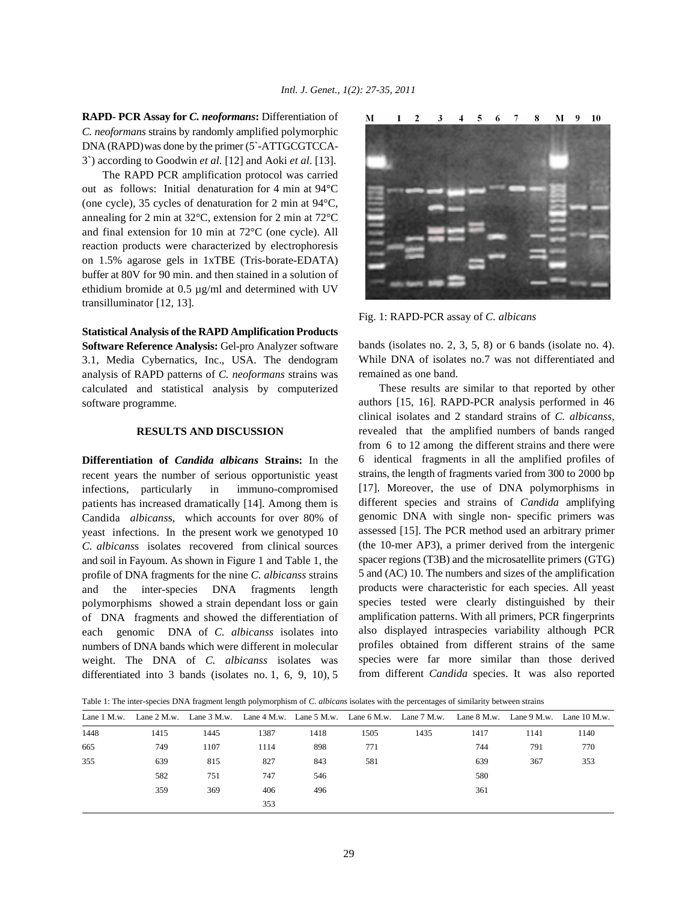**RAPD- PCR Assay for** *C. neoformans***:** Differentiation of *C. neoformans* strains by randomly amplified polymorphic DNA (RAPD)was done by the primer (5`-ATTGCGTCCA-3`) according to Goodwin *et al*. [12] and Aoki *et al*. [13].

The RAPD PCR amplification protocol was carried out as follows: Initial denaturation for 4 min at 94°C (one cycle), 35 cycles of denaturation for 2 min at 94°C, annealing for 2 min at 32°C, extension for 2 min at 72°C and final extension for 10 min at 72°C (one cycle). All reaction products were characterized by electrophoresis on 1.5% agarose gels in 1xTBE (Tris-borate-EDATA) buffer at 80V for 90 min. and then stained in a solution of ethidium bromide at 0.5 µg/ml and determined with UV transilluminator [12, 13].

**Statistical Analysis of the RAPD Amplification Products Software Reference Analysis:** Gel-pro Analyzer software 3.1, Media Cybernatics, Inc., USA. The dendogram analysis of RAPD patterns of *C. neoformans* strains was calculated and statistical analysis by computerized software programme.

# **RESULTS AND DISCUSSION**

**Differentiation of** *Candida albicans* **Strains:** In the recent years the number of serious opportunistic yeast infections, particularly in immuno-compromised patients has increased dramatically [14]. Among them is Candida *albicans*s, which accounts for over 80% of yeast infections. In the present work we genotyped 10 *C. albicans*s isolates recovered from clinical sources and soil in Fayoum. As shown in Figure 1 and Table 1, the profile of DNA fragments for the nine *C. albicanss* strains and the inter-species DNA fragments length polymorphisms showed a strain dependant loss or gain of DNA fragments and showed the differentiation of each genomic DNA of *C. albicanss* isolates into numbers of DNA bands which were different in molecular weight. The DNA of *C. albicanss* isolates was differentiated into 3 bands (isolates no. 1, 6, 9, 10), 5



Fig. 1: RAPD-PCR assay of *C. albicans*

bands (isolates no. 2, 3, 5, 8) or 6 bands (isolate no. 4). While DNA of isolates no.7 was not differentiated and remained as one band.

These results are similar to that reported by other authors [15, 16]. RAPD-PCR analysis performed in 46 clinical isolates and 2 standard strains of *C. albicanss*, revealed that the amplified numbers of bands ranged from 6 to 12 among the different strains and there were 6 identical fragments in all the amplified profiles of strains, the length of fragments varied from 300 to 2000 bp [17]. Moreover, the use of DNA polymorphisms in different species and strains of *Candida* amplifying genomic DNA with single non- specific primers was assessed [15]. The PCR method used an arbitrary primer (the 10-mer AP3), a primer derived from the intergenic spacer regions (T3B) and the microsatellite primers (GTG) 5 and (AC) 10. The numbers and sizes of the amplification products were characteristic for each species. All yeast species tested were clearly distinguished by their amplification patterns. With all primers, PCR fingerprints also displayed intraspecies variability although PCR profiles obtained from different strains of the same species were far more similar than those derived from different *Candida* species. It was also reported

Table 1: The inter-species DNA fragment length polymorphism of *C. albicans* isolates with the percentages of similarity between strains

| Lane $1$ M.w. | Lane $2$ M.w. |      |      |      |      | Lane 3 M.w. Lane 4 M.w. Lane 5 M.w. Lane 6 M.w. Lane 7 M.w. Lane 8 M.w. Lane 9 M.w. Lane 10 M.w. |      |      |      |
|---------------|---------------|------|------|------|------|--------------------------------------------------------------------------------------------------|------|------|------|
| 1448          | 1415          | 1445 | 1387 | 1418 | 1505 | 1435                                                                                             | 1417 | 1141 | 1140 |
| 665           | 749           | 1107 | 1114 | 898  | 771  |                                                                                                  | 744  | 791  | 770  |
| 355           | 639           | 815  | 827  | 843  | 581  |                                                                                                  | 639  | 367  | 353  |
|               | 582           | 751  | 747  | 546  |      |                                                                                                  | 580  |      |      |
|               | 359           | 369  | 406  | 496  |      |                                                                                                  | 361  |      |      |
|               |               |      | 353  |      |      |                                                                                                  |      |      |      |
|               |               |      |      |      |      |                                                                                                  |      |      |      |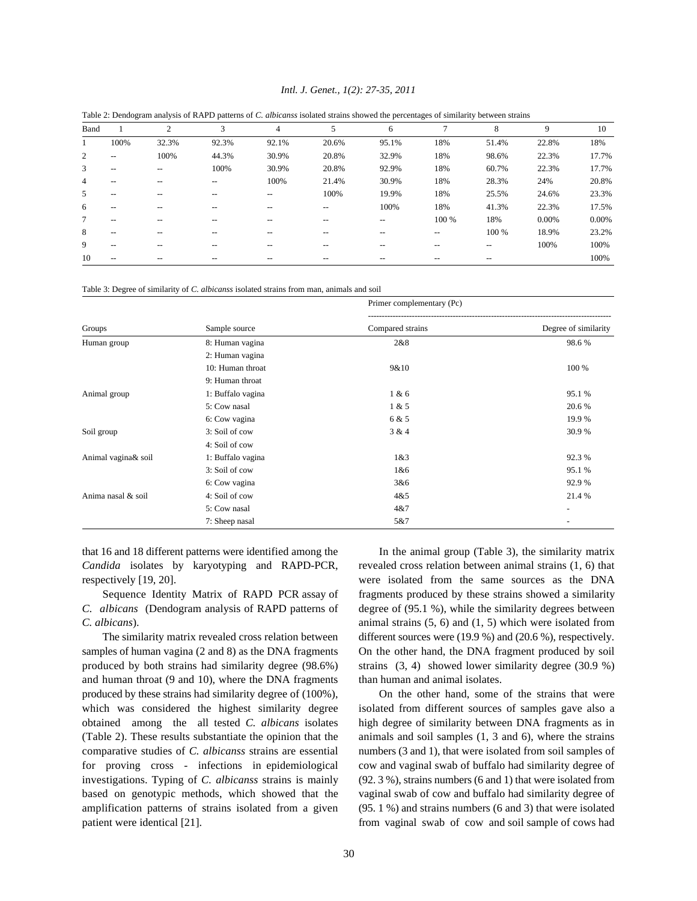### *Intl. J. Genet., 1(2): 27-35, 2011*

| Band |                          | 2     | 3     | 4                        | 5     | 6                        |       | 8                        | 9     | 10    |
|------|--------------------------|-------|-------|--------------------------|-------|--------------------------|-------|--------------------------|-------|-------|
|      | 100%                     | 32.3% | 92.3% | 92.1%                    | 20.6% | 95.1%                    | 18%   | 51.4%                    | 22.8% | 18%   |
| 2    | $\hspace{0.05cm} \ldots$ | 100%  | 44.3% | 30.9%                    | 20.8% | 32.9%                    | 18%   | 98.6%                    | 22.3% | 17.7% |
| 3    | $\hspace{0.05cm} \ldots$ | $- -$ | 100%  | 30.9%                    | 20.8% | 92.9%                    | 18%   | 60.7%                    | 22.3% | 17.7% |
| 4    | --                       | --    | $- -$ | 100%                     | 21.4% | 30.9%                    | 18%   | 28.3%                    | 24%   | 20.8% |
| 5    | $\overline{\phantom{m}}$ | --    | $- -$ | $\overline{\phantom{m}}$ | 100%  | 19.9%                    | 18%   | 25.5%                    | 24.6% | 23.3% |
| 6    | --                       |       | --    | --                       | --    | 100%                     | 18%   | 41.3%                    | 22.3% | 17.5% |
| 7    | --                       | --    | $-$   | --                       | --    | $\overline{\phantom{m}}$ | 100 % | 18%                      | 0.00% | 0.00% |
| 8    | $\hspace{0.05cm} \ldots$ | --    | $-$   | --                       | $-$   | --                       | $-$   | 100 %                    | 18.9% | 23.2% |
| 9    | --                       | --    | $-$   | --                       | --    | --                       |       | $\hspace{0.05cm} \ldots$ | 100%  | 100%  |
| 10   | --                       |       |       | --                       | --    |                          |       |                          |       | 100%  |

Table 2: Dendogram analysis of RAPD patterns of *C. albicanss* isolated strains showed the percentages of similarity between strains

Table 3: Degree of similarity of *C. albicanss* isolated strains from man, animals and soil

|                     |                   | Primer complementary (Pc) |                      |  |  |  |  |
|---------------------|-------------------|---------------------------|----------------------|--|--|--|--|
| Groups              | Sample source     | Compared strains          | Degree of similarity |  |  |  |  |
| Human group         | 8: Human vagina   | 2&8                       | 98.6%                |  |  |  |  |
|                     | 2: Human vagina   |                           |                      |  |  |  |  |
|                     | 10: Human throat  | 9&10                      | 100 %                |  |  |  |  |
|                     | 9: Human throat   |                           |                      |  |  |  |  |
| Animal group        | 1: Buffalo vagina | 1 & 6                     | 95.1 %               |  |  |  |  |
|                     | 5: Cow nasal      | 1 & 5                     | 20.6 %               |  |  |  |  |
|                     | 6: Cow vagina     | 6 & 5                     | 19.9 %               |  |  |  |  |
| Soil group          | 3: Soil of cow    | 3 & 4                     | 30.9%                |  |  |  |  |
|                     | 4: Soil of cow    |                           |                      |  |  |  |  |
| Animal vagina& soil | 1: Buffalo vagina | 1&8:3                     | 92.3 %               |  |  |  |  |
|                     | 3: Soil of cow    | 1&6                       | 95.1 %               |  |  |  |  |
|                     | 6: Cow vagina     | 3&6                       | 92.9%                |  |  |  |  |
| Anima nasal & soil  | 4: Soil of cow    | 4&5                       | 21.4 %               |  |  |  |  |
|                     | 5: Cow nasal      | 4 & 7                     | -                    |  |  |  |  |
|                     | 7: Sheep nasal    | 5&7                       | -                    |  |  |  |  |

*Candida* isolates by karyotyping and RAPD-PCR, revealed cross relation between animal strains (1, 6) that respectively [19, 20]. were isolated from the same sources as the DNA

*C. albicans* (Dendogram analysis of RAPD patterns of degree of (95.1 %), while the similarity degrees between *C. albicans*). animal strains (5, 6) and (1, 5) which were isolated from

samples of human vagina (2 and 8) as the DNA fragments On the other hand, the DNA fragment produced by soil produced by both strains had similarity degree (98.6%) strains (3, 4) showed lower similarity degree (30.9 %) and human throat (9 and 10), where the DNA fragments than human and animal isolates. produced by these strains had similarity degree of (100%), On the other hand, some of the strains that were which was considered the highest similarity degree isolated from different sources of samples gave also a obtained among the all tested *C. albicans* isolates high degree of similarity between DNA fragments as in (Table 2). These results substantiate the opinion that the animals and soil samples (1, 3 and 6), where the strains for proving cross - infections in epidemiological cow and vaginal swab of buffalo had similarity degree of investigations. Typing of *C. albicanss* strains is mainly (92. 3 %), strains numbers (6 and 1) that were isolated from based on genotypic methods, which showed that the vaginal swab of cow and buffalo had similarity degree of amplification patterns of strains isolated from a given (95. 1 %) and strains numbers (6 and 3) that were isolated patient were identical [21]. from vaginal swab of cow and soil sample of cows had

that 16 and 18 different patterns were identified among the In the animal group (Table 3), the similarity matrix Sequence Identity Matrix of RAPD PCR assay of fragments produced by these strains showed a similarity The similarity matrix revealed cross relation between different sources were (19.9 %) and (20.6 %), respectively.

comparative studies of *C. albicanss* strains are essential numbers (3 and 1), that were isolated from soil samples of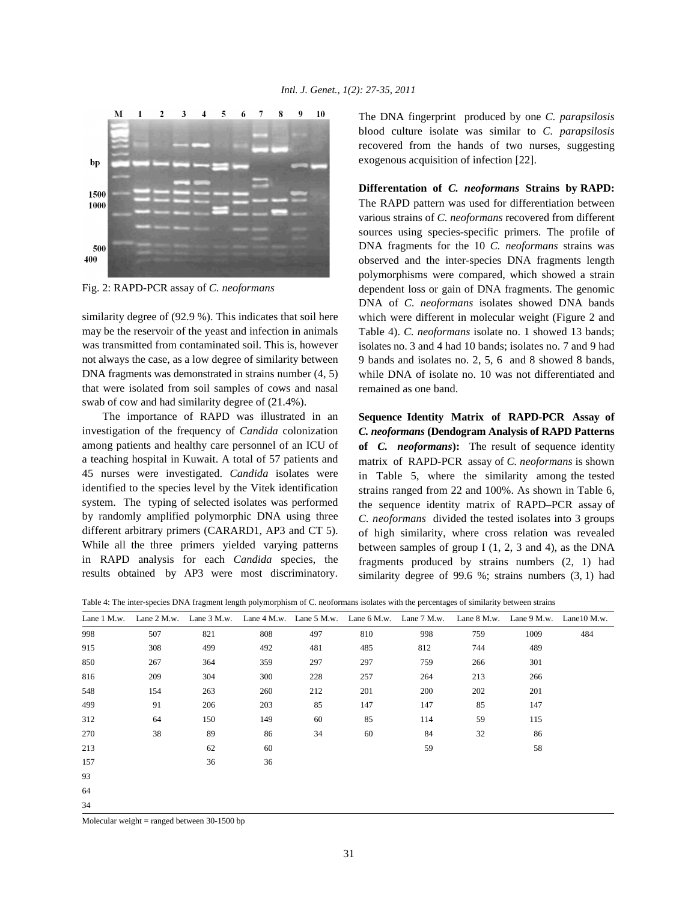

Fig. 2: RAPD-PCR assay of *C. neoformans*

similarity degree of (92.9 %). This indicates that soil here may be the reservoir of the yeast and infection in animals was transmitted from contaminated soil. This is, however not always the case, as a low degree of similarity between DNA fragments was demonstrated in strains number (4, 5) that were isolated from soil samples of cows and nasal swab of cow and had similarity degree of (21.4%).

The importance of RAPD was illustrated in an investigation of the frequency of *Candida* colonization among patients and healthy care personnel of an ICU of a teaching hospital in Kuwait. A total of 57 patients and 45 nurses were investigated. *Candida* isolates were identified to the species level by the Vitek identification system. The typing of selected isolates was performed by randomly amplified polymorphic DNA using three different arbitrary primers (CARARD1, AP3 and CT 5). While all the three primers yielded varying patterns in RAPD analysis for each *Candida* species, the results obtained by AP3 were most discriminatory.

The DNA fingerprint produced by one *C. parapsilosis* blood culture isolate was similar to *C. parapsilosis* recovered from the hands of two nurses, suggesting exogenous acquisition of infection [22].

**Differentation of** *C. neoformans* **Strains by RAPD:** The RAPD pattern was used for differentiation between various strains of *C. neoformans* recovered from different sources using species-specific primers. The profile of DNA fragments for the 10 *C. neoformans* strains was observed and the inter-species DNA fragments length polymorphisms were compared, which showed a strain dependent loss or gain of DNA fragments. The genomic DNA of *C. neoformans* isolates showed DNA bands which were different in molecular weight (Figure 2 and Table 4). *C. neoformans* isolate no. 1 showed 13 bands; isolates no. 3 and 4 had 10 bands; isolates no. 7 and 9 had 9 bands and isolates no. 2, 5, 6 and 8 showed 8 bands, while DNA of isolate no. 10 was not differentiated and remained as one band.

**Sequence Identity Matrix of RAPD-PCR Assay of** *C. neoformans* **(Dendogram Analysis of RAPD Patterns of** *C. neoformans***):** The result of sequence identity matrix of RAPD-PCR assay of *C. neoformans* is shown in Table 5, where the similarity among the tested strains ranged from 22 and 100%. As shown in Table 6, the sequence identity matrix of RAPD–PCR assay of *C. neoformans* divided the tested isolates into 3 groups of high similarity, where cross relation was revealed between samples of group I (1, 2, 3 and 4), as the DNA fragments produced by strains numbers (2, 1) had similarity degree of 99.6 %; strains numbers (3, 1) had

| Lane 1 M.w. | Lane 2 M.w. | Lane 3 M.w. |     |     | Lane $4 M.w.$ Lane $5 M.w.$ Lane $6 M.w.$ Lane $7 M.w.$ |     | Lane 8 M.w. | Lane 9 M.w. | Lane $10$ M.w. |
|-------------|-------------|-------------|-----|-----|---------------------------------------------------------|-----|-------------|-------------|----------------|
| 998         | 507         | 821         | 808 | 497 | 810                                                     | 998 | 759         | 1009        | 484            |
| 915         | 308         | 499         | 492 | 481 | 485                                                     | 812 | 744         | 489         |                |
| 850         | 267         | 364         | 359 | 297 | 297                                                     | 759 | 266         | 301         |                |
| 816         | 209         | 304         | 300 | 228 | 257                                                     | 264 | 213         | 266         |                |
| 548         | 154         | 263         | 260 | 212 | 201                                                     | 200 | 202         | 201         |                |
| 499         | 91          | 206         | 203 | 85  | 147                                                     | 147 | 85          | 147         |                |
| 312         | 64          | 150         | 149 | 60  | 85                                                      | 114 | 59          | 115         |                |
| 270         | 38          | 89          | 86  | 34  | 60                                                      | 84  | 32          | 86          |                |
| 213         |             | 62          | 60  |     |                                                         | 59  |             | 58          |                |
| 157         |             | 36          | 36  |     |                                                         |     |             |             |                |
| 93          |             |             |     |     |                                                         |     |             |             |                |
| 64          |             |             |     |     |                                                         |     |             |             |                |
| 34          |             |             |     |     |                                                         |     |             |             |                |

Table 4: The inter-species DNA fragment length polymorphism of C. neoformans isolates with the percentages of similarity between strains

Molecular weight  $=$  ranged between 30-1500 bp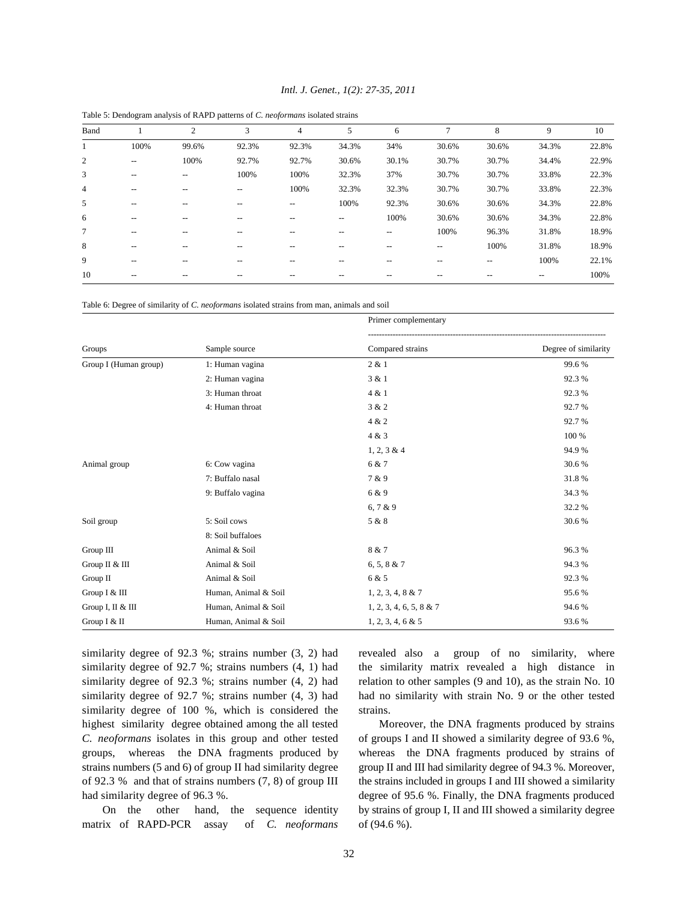| Band           |                          | $\overline{c}$           | 3     | $\overline{4}$    | 5     | 6     | $\mathcal{L}$            | 8     | 9     | 10    |
|----------------|--------------------------|--------------------------|-------|-------------------|-------|-------|--------------------------|-------|-------|-------|
|                | 100%                     | 99.6%                    | 92.3% | 92.3%             | 34.3% | 34%   | 30.6%                    | 30.6% | 34.3% | 22.8% |
| 2              | $\overline{\phantom{a}}$ | 100%                     | 92.7% | 92.7%             | 30.6% | 30.1% | 30.7%                    | 30.7% | 34.4% | 22.9% |
| 3              | --                       | $\hspace{0.05cm} \ldots$ | 100%  | 100%              | 32.3% | 37%   | 30.7%                    | 30.7% | 33.8% | 22.3% |
| $\overline{4}$ | --                       | --                       | --    | 100%              | 32.3% | 32.3% | 30.7%                    | 30.7% | 33.8% | 22.3% |
| 5              | --                       | $-$                      | --    | $\hspace{0.05cm}$ | 100%  | 92.3% | 30.6%                    | 30.6% | 34.3% | 22.8% |
| 6              | --                       |                          |       |                   | --    | 100%  | 30.6%                    | 30.6% | 34.3% | 22.8% |
| 7              | $- -$                    | $-$                      | --    | --                | --    | $- -$ | 100%                     | 96.3% | 31.8% | 18.9% |
| 8              | --                       |                          | --    |                   |       |       | $\overline{\phantom{m}}$ | 100%  | 31.8% | 18.9% |
| 9              | $- -$                    | $-$                      | --    | --                | --    | $-$   | $\overline{\phantom{m}}$ | --    | 100%  | 22.1% |
| 10             |                          |                          |       |                   |       |       |                          |       |       | 100%  |

*Intl. J. Genet., 1(2): 27-35, 2011*

Table 5: Dendogram analysis of RAPD patterns of *C. neoformans* isolated strains

Table 6: Degree of similarity of *C. neoformans* isolated strains from man, animals and soil

|                       |                      | Primer complementary    |                      |  |  |  |  |
|-----------------------|----------------------|-------------------------|----------------------|--|--|--|--|
| Groups                | Sample source        | Compared strains        | Degree of similarity |  |  |  |  |
| Group I (Human group) | 1: Human vagina      | 2 & 1                   | 99.6%                |  |  |  |  |
|                       | 2: Human vagina      | 3 & 1                   | 92.3%                |  |  |  |  |
|                       | 3: Human throat      | 4 & 1                   | 92.3%                |  |  |  |  |
|                       | 4: Human throat      | 3 & 2                   | 92.7%                |  |  |  |  |
|                       |                      | 4 & 2                   | 92.7%                |  |  |  |  |
|                       |                      | 4 & 3                   | 100 %                |  |  |  |  |
|                       |                      | 1, 2, 3 & 4             | 94.9%                |  |  |  |  |
| Animal group          | 6: Cow vagina        | 6 & 7                   | 30.6%                |  |  |  |  |
|                       | 7: Buffalo nasal     | 7 & 9                   | 31.8%                |  |  |  |  |
|                       | 9: Buffalo vagina    | 6 & 9                   | 34.3 %               |  |  |  |  |
|                       |                      | 6, 7 & 9                | 32.2 %               |  |  |  |  |
| Soil group            | 5: Soil cows         | 5 & 8                   | 30.6%                |  |  |  |  |
|                       | 8: Soil buffaloes    |                         |                      |  |  |  |  |
| Group III             | Animal & Soil        | 8 & 7                   | 96.3%                |  |  |  |  |
| Group II & III        | Animal & Soil        | 6, 5, 8 & 7             | 94.3%                |  |  |  |  |
| Group II              | Animal & Soil        | 6 & 5                   | 92.3%                |  |  |  |  |
| Group I & III         | Human, Animal & Soil | 1, 2, 3, 4, 8 & 7       | 95.6%                |  |  |  |  |
| Group I, II & III     | Human, Animal & Soil | 1, 2, 3, 4, 6, 5, 8 & 7 | 94.6%                |  |  |  |  |
| Group I & II          | Human, Animal & Soil | 1, 2, 3, 4, 6 & 5       | 93.6%                |  |  |  |  |

similarity degree of 92.7 %; strains numbers (4, 1) had the similarity matrix revealed a high distance in similarity degree of 92.3 %; strains number (4, 2) had relation to other samples (9 and 10), as the strain No. 10 similarity degree of 92.7 %; strains number (4, 3) had had no similarity with strain No. 9 or the other tested similarity degree of 100 %, which is considered the strains. highest similarity degree obtained among the all tested Moreover, the DNA fragments produced by strains *C. neoformans* isolates in this group and other tested of groups I and II showed a similarity degree of 93.6 %, groups, whereas the DNA fragments produced by whereas the DNA fragments produced by strains of strains numbers (5 and 6) of group II had similarity degree group II and III had similarity degree of 94.3 %. Moreover, of 92.3 % and that of strains numbers  $(7, 8)$  of group III the strains included in groups I and III showed a similarity had similarity degree of 96.3 %. degree of 95.6 %. Finally, the DNA fragments produced

matrix of RAPD-PCR assay of *C. neoformans* of (94.6 %).

similarity degree of 92.3 %; strains number (3, 2) had revealed also a group of no similarity, where

On the other hand, the sequence identity by strains of group I, II and III showed a similarity degree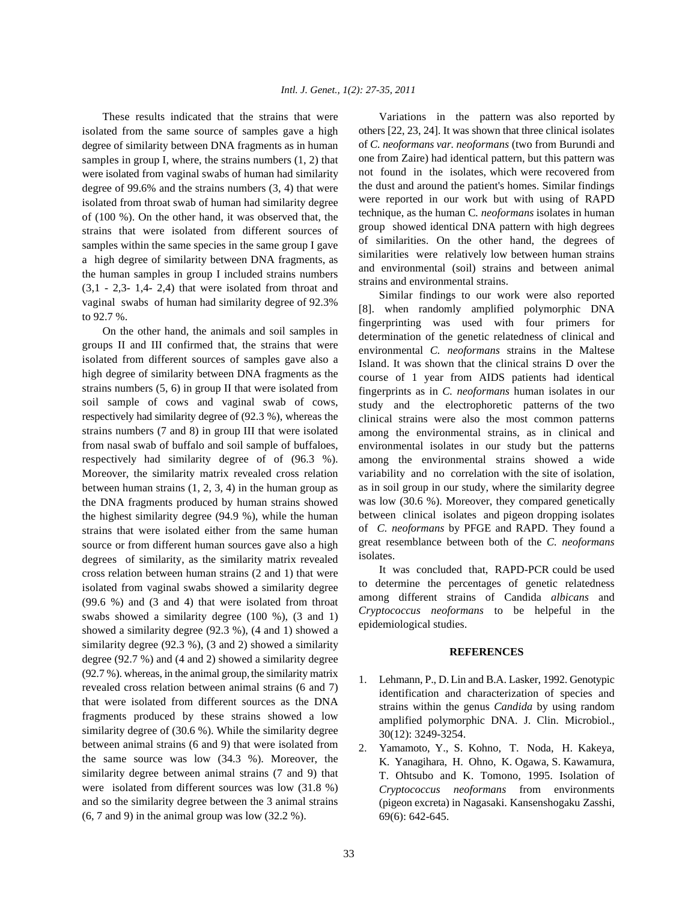isolated from the same source of samples gave a high degree of similarity between DNA fragments as in human samples in group I, where, the strains numbers (1, 2) that were isolated from vaginal swabs of human had similarity degree of 99.6% and the strains numbers (3, 4) that were isolated from throat swab of human had similarity degree of (100 %). On the other hand, it was observed that, the strains that were isolated from different sources of samples within the same species in the same group I gave a high degree of similarity between DNA fragments, as the human samples in group I included strains numbers  $(3,1 - 2,3 - 1,4 - 2,4)$  that were isolated from throat and vaginal swabs of human had similarity degree of 92.3% to 92.7 %.

On the other hand, the animals and soil samples in groups II and III confirmed that, the strains that were isolated from different sources of samples gave also a high degree of similarity between DNA fragments as the strains numbers (5, 6) in group II that were isolated from soil sample of cows and vaginal swab of cows, respectively had similarity degree of (92.3 %), whereas the strains numbers (7 and 8) in group III that were isolated from nasal swab of buffalo and soil sample of buffaloes, respectively had similarity degree of of (96.3 %). Moreover, the similarity matrix revealed cross relation between human strains  $(1, 2, 3, 4)$  in the human group as the DNA fragments produced by human strains showed the highest similarity degree (94.9 %), while the human strains that were isolated either from the same human source or from different human sources gave also a high degrees of similarity, as the similarity matrix revealed cross relation between human strains (2 and 1) that were isolated from vaginal swabs showed a similarity degree (99.6 %) and (3 and 4) that were isolated from throat swabs showed a similarity degree (100 %), (3 and 1) showed a similarity degree (92.3 %), (4 and 1) showed a similarity degree (92.3 %), (3 and 2) showed a similarity degree (92.7 %) and (4 and 2) showed a similarity degree (92.7 %). whereas, in the animal group, the similarity matrix revealed cross relation between animal strains (6 and 7) that were isolated from different sources as the DNA fragments produced by these strains showed a low similarity degree of (30.6 %). While the similarity degree between animal strains (6 and 9) that were isolated from the same source was low (34.3 %). Moreover, the similarity degree between animal strains (7 and 9) that were isolated from different sources was low (31.8 %) and so the similarity degree between the 3 animal strains (6, 7 and 9) in the animal group was low (32.2 %).

These results indicated that the strains that were Variations in the pattern was also reported by others [22, 23, 24]. It was shown that three clinical isolates of *C. neoformans var. neoformans* (two from Burundi and one from Zaire) had identical pattern, but this pattern was not found in the isolates, which were recovered from the dust and around the patient's homes. Similar findings were reported in our work but with using of RAPD technique, as the human C*. neoformans* isolates in human group showed identical DNA pattern with high degrees of similarities. On the other hand, the degrees of similarities were relatively low between human strains and environmental (soil) strains and between animal strains and environmental strains.

> Similar findings to our work were also reported [8]. when randomly amplified polymorphic DNA fingerprinting was used with four primers for determination of the genetic relatedness of clinical and environmental *C. neoformans* strains in the Maltese Island. It was shown that the clinical strains D over the course of 1 year from AIDS patients had identical fingerprints as in *C. neoformans* human isolates in our study and the electrophoretic patterns of the two clinical strains were also the most common patterns among the environmental strains, as in clinical and environmental isolates in our study but the patterns among the environmental strains showed a wide variability and no correlation with the site of isolation, as in soil group in our study, where the similarity degree was low (30.6 %). Moreover, they compared genetically between clinical isolates and pigeon dropping isolates of *C. neoformans* by PFGE and RAPD. They found a great resemblance between both of the *C. neoformans* isolates.

> It was concluded that, RAPD-PCR could be used to determine the percentages of genetic relatedness among different strains of Candida *albicans* and *Cryptococcus neoformans* to be helpeful in the epidemiological studies.

## **REFERENCES**

- 1. Lehmann, P., D. Lin and B.A. Lasker, 1992. Genotypic identification and characterization of species and strains within the genus *Candida* by using random amplified polymorphic DNA. J. Clin. Microbiol., 30(12): 3249-3254.
- 2. Yamamoto, Y., S. Kohno, T. Noda, H. Kakeya, K. Yanagihara, H. Ohno, K. Ogawa, S. Kawamura, T. Ohtsubo and K. Tomono, 1995. Isolation of *Cryptococcus neoformans* from environments (pigeon excreta) in Nagasaki. Kansenshogaku Zasshi, 69(6): 642-645.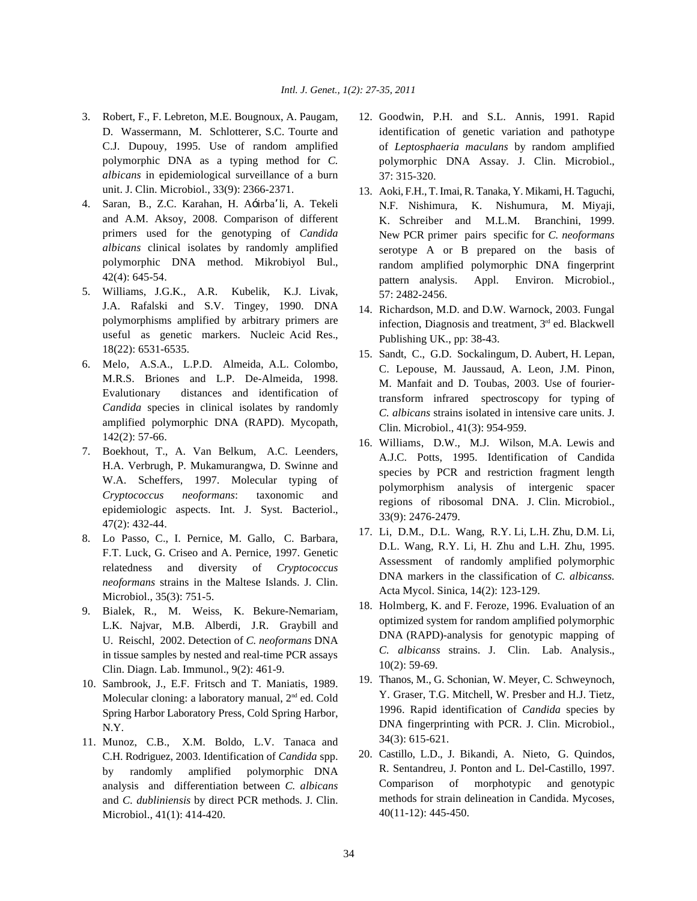- D. Wassermann, M. Schlotterer, S.C. Tourte and C.J. Dupouy, 1995. Use of random amplified polymorphic DNA as a typing method for *C. albicans* in epidemiological surveillance of a burn unit. J. Clin. Microbiol., 33(9): 2366-2371.
- 4. Saran, B., Z.C. Karahan, H. A—irbaÕli, A. Tekeli and A.M. Aksoy, 2008. Comparison of different primers used for the genotyping of *Candida albicans* clinical isolates by randomly amplified polymorphic DNA method. Mikrobiyol Bul., 42(4): 645-54.
- 5. Williams, J.G.K., A.R. Kubelik, K.J. Livak, J.A. Rafalski and S.V. Tingey, 1990. DNA polymorphisms amplified by arbitrary primers are useful as genetic markers. Nucleic Acid Res., 18(22): 6531-6535.
- 6. Melo, A.S.A., L.P.D. Almeida, A.L. Colombo, M.R.S. Briones and L.P. De-Almeida, 1998. Evalutionary distances and identification of *Candida* species in clinical isolates by randomly amplified polymorphic DNA (RAPD). Mycopath, 142(2): 57-66.
- 7. Boekhout, T., A. Van Belkum, A.C. Leenders, H.A. Verbrugh, P. Mukamurangwa, D. Swinne and W.A. Scheffers, 1997. Molecular typing of *Cryptococcus neoformans*: taxonomic and epidemiologic aspects. Int. J. Syst. Bacteriol., 47(2): 432-44.
- 8. Lo Passo, C., I. Pernice, M. Gallo, C. Barbara, F.T. Luck, G. Criseo and A. Pernice, 1997. Genetic relatedness and diversity of *Cryptococcus neoformans* strains in the Maltese Islands. J. Clin. Microbiol., 35(3): 751-5.
- 9. Bialek, R., M. Weiss, K. Bekure-Nemariam, L.K. Najvar, M.B. Alberdi, J.R. Graybill and U. Reischl, 2002. Detection of *C. neoformans* DNA in tissue samples by nested and real-time PCR assays Clin. Diagn. Lab. Immunol., 9(2): 461-9.
- 10. Sambrook, J., E.F. Fritsch and T. Maniatis, 1989. Molecular cloning: a laboratory manual,  $2<sup>nd</sup>$  ed. Cold Spring Harbor Laboratory Press, Cold Spring Harbor, N.Y.
- 11. Munoz, C.B., X.M. Boldo, L.V. Tanaca and C.H. Rodriguez, 2003. Identification of *Candida* spp. by randomly amplified polymorphic DNA analysis and differentiation between *C. albicans* and *C. dubliniensis* by direct PCR methods. J. Clin. Microbiol., 41(1): 414-420.
- 3. Robert, F., F. Lebreton, M.E. Bougnoux, A. Paugam, 12. Goodwin, P.H. and S.L. Annis, 1991. Rapid identification of genetic variation and pathotype of *Leptosphaeria maculans* by random amplified polymorphic DNA Assay. J. Clin. Microbiol., 37: 315-320.
	- 13. Aoki, F.H., T.Imai, R. Tanaka, Y. Mikami, H. Taguchi, N.F. Nishimura, K. Nishumura, M. Miyaji, K. Schreiber and M.L.M. Branchini, 1999. New PCR primer pairs specific for *C. neoformans* serotype A or B prepared on the basis of random amplified polymorphic DNA fingerprint pattern analysis. Appl. Environ. Microbiol., 57: 2482-2456.
	- 14. Richardson, M.D. and D.W. Warnock, 2003. Fungal infection, Diagnosis and treatment,  $3<sup>rd</sup>$  ed. Blackwell Publishing UK., pp: 38-43.
	- 15. Sandt, C., G.D. Sockalingum, D. Aubert, H. Lepan, C. Lepouse, M. Jaussaud, A. Leon, J.M. Pinon, M. Manfait and D. Toubas, 2003. Use of fouriertransform infrared spectroscopy for typing of *C. albicans* strains isolated in intensive care units. J. Clin. Microbiol., 41(3): 954-959.
	- 16. Williams, D.W., M.J. Wilson, M.A. Lewis and A.J.C. Potts, 1995. Identification of Candida species by PCR and restriction fragment length polymorphism analysis of intergenic spacer regions of ribosomal DNA. J. Clin. Microbiol., 33(9): 2476-2479.
	- 17. Li, D.M., D.L. Wang, R.Y. Li, L.H. Zhu, D.M. Li, D.L. Wang, R.Y. Li, H. Zhu and L.H. Zhu, 1995. Assessment of randomly amplified polymorphic DNA markers in the classification of *C. albicanss.* Acta Mycol. Sinica, 14(2): 123-129.
	- 18. Holmberg, K. and F. Feroze, 1996. Evaluation of an optimized system for random amplified polymorphic DNA (RAPD)-analysis for genotypic mapping of *C. albicanss* strains. J. Clin. Lab. Analysis., 10(2): 59-69.
	- 19. Thanos, M., G. Schonian, W. Meyer, C. Schweynoch, Y. Graser, T.G. Mitchell, W. Presber and H.J. Tietz, 1996. Rapid identification of *Candida* species by DNA fingerprinting with PCR. J. Clin. Microbiol., 34(3): 615-621.
	- 20. Castillo, L.D., J. Bikandi, A. Nieto, G. Quindos, R. Sentandreu, J. Ponton and L. Del-Castillo, 1997. Comparison of morphotypic and genotypic methods for strain delineation in Candida. Mycoses, 40(11-12): 445-450.